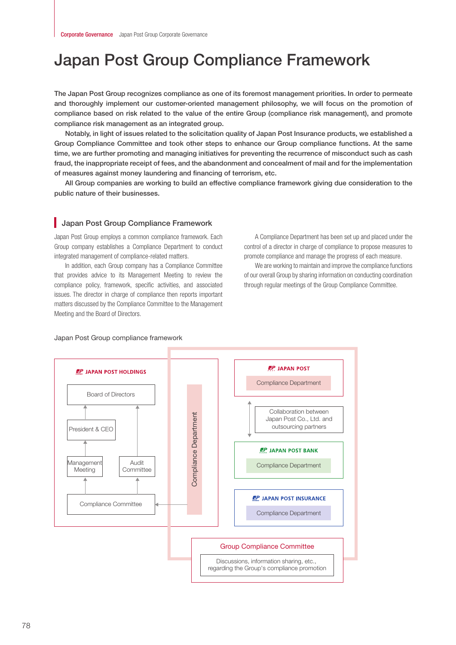# Japan Post Group Compliance Framework

The Japan Post Group recognizes compliance as one of its foremost management priorities. In order to permeate and thoroughly implement our customer-oriented management philosophy, we will focus on the promotion of compliance based on risk related to the value of the entire Group (compliance risk management), and promote compliance risk management as an integrated group.

Notably, in light of issues related to the solicitation quality of Japan Post Insurance products, we established a Group Compliance Committee and took other steps to enhance our Group compliance functions. At the same time, we are further promoting and managing initiatives for preventing the recurrence of misconduct such as cash fraud, the inappropriate receipt of fees, and the abandonment and concealment of mail and for the implementation of measures against money laundering and financing of terrorism, etc.

All Group companies are working to build an effective compliance framework giving due consideration to the public nature of their businesses.

#### **Japan Post Group Compliance Framework**

Japan Post Group employs a common compliance framework. Each Group company establishes a Compliance Department to conduct integrated management of compliance-related matters.

In addition, each Group company has a Compliance Committee that provides advice to its Management Meeting to review the compliance policy, framework, specific activities, and associated issues. The director in charge of compliance then reports important matters discussed by the Compliance Committee to the Management Meeting and the Board of Directors.

A Compliance Department has been set up and placed under the control of a director in charge of compliance to propose measures to promote compliance and manage the progress of each measure.

We are working to maintain and improve the compliance functions of our overall Group by sharing information on conducting coordination through regular meetings of the Group Compliance Committee.